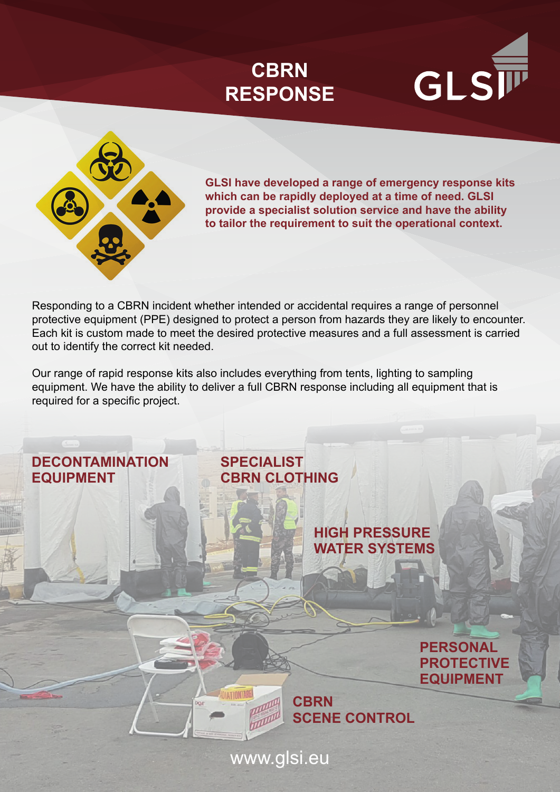# **CBRN RESPONSE**





**GLSI have developed a range of emergency response kits which can be rapidly deployed at a time of need. GLSI provide a specialist solution service and have the ability to tailor the requirement to suit the operational context.**

Responding to a CBRN incident whether intended or accidental requires a range of personnel protective equipment (PPE) designed to protect a person from hazards they are likely to encounter. Each kit is custom made to meet the desired protective measures and a full assessment is carried out to identify the correct kit needed.

Our range of rapid response kits also includes everything from tents, lighting to sampling equipment. We have the ability to deliver a full CBRN response including all equipment that is required for a specific project.